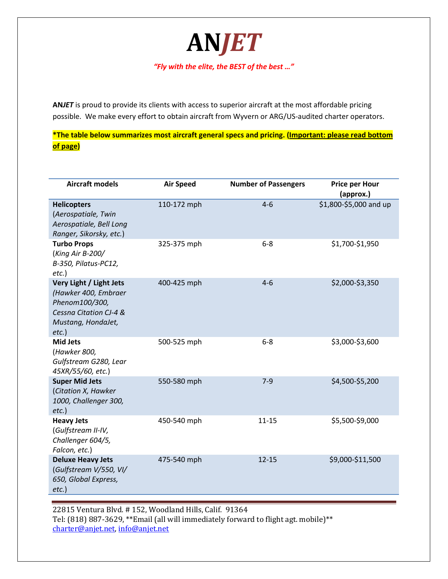*"Fly with the elite, the BEST of the best …"*

**AN***JET*

**AN***JET* is proud to provide its clients with access to superior aircraft at the most affordable pricing possible. We make every effort to obtain aircraft from Wyvern or ARG/US-audited charter operators.

**\*The table below summarizes most aircraft general specs and pricing. (Important: please read bottom of page)**

| <b>Aircraft models</b>                                                                                                        | <b>Air Speed</b> | <b>Number of Passengers</b> | <b>Price per Hour</b><br>(approx.) |
|-------------------------------------------------------------------------------------------------------------------------------|------------------|-----------------------------|------------------------------------|
| <b>Helicopters</b><br>(Aerospatiale, Twin<br>Aerospatiale, Bell Long<br>Ranger, Sikorsky, etc.)                               | 110-172 mph      | $4 - 6$                     | \$1,800-\$5,000 and up             |
| <b>Turbo Props</b><br>(King Air B-200/<br>B-350, Pilatus-PC12,<br>$etc.$ )                                                    | 325-375 mph      | $6 - 8$                     | \$1,700-\$1,950                    |
| Very Light / Light Jets<br>(Hawker 400, Embraer<br>Phenom100/300,<br>Cessna Citation CJ-4 &<br>Mustang, HondaJet,<br>$etc.$ ) | 400-425 mph      | $4 - 6$                     | \$2,000-\$3,350                    |
| <b>Mid Jets</b><br>(Hawker 800,<br>Gulfstream G280, Lear<br>45XR/55/60, etc.)                                                 | 500-525 mph      | $6 - 8$                     | \$3,000-\$3,600                    |
| <b>Super Mid Jets</b><br>(Citation X, Hawker<br>1000, Challenger 300,<br>$etc.$ )                                             | 550-580 mph      | $7-9$                       | \$4,500-\$5,200                    |
| <b>Heavy Jets</b><br>(Gulfstream II-IV,<br>Challenger 604/5,<br>Falcon, etc.)                                                 | 450-540 mph      | $11 - 15$                   | \$5,500-\$9,000                    |
| <b>Deluxe Heavy Jets</b><br>(Gulfstream V/550, VI/<br>650, Global Express,<br>$etc.$ )                                        | 475-540 mph      | $12 - 15$                   | \$9,000-\$11,500                   |

22815 Ventura Blvd. # 152, Woodland Hills, Calif. 91364 Tel: (818) 887-3629, \*\*Email (all will immediately forward to flight agt. mobile)\*\* [charter@anjet.net,](mailto:charter@anjet.net) [info@anjet.net](mailto:info@anjet.net)